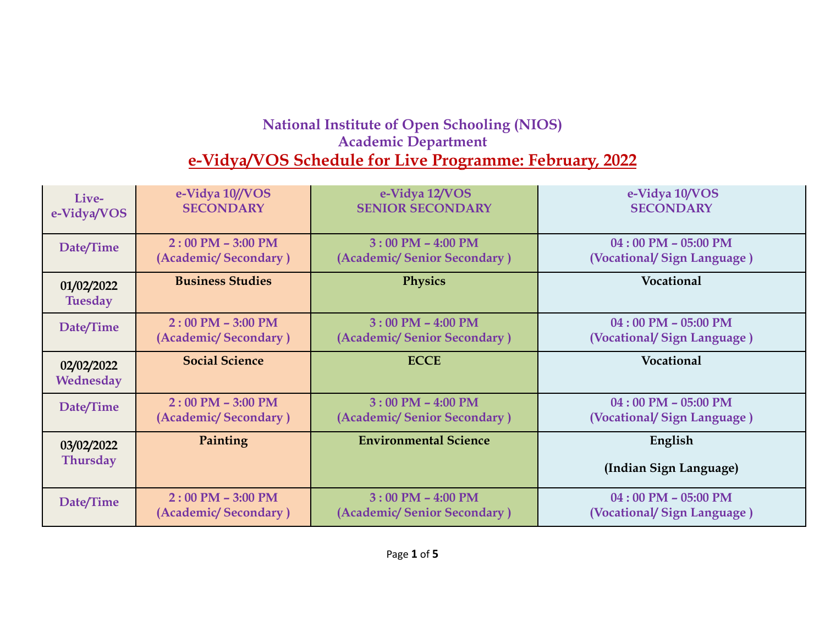## **National Institute of Open Schooling (NIOS) Academic Department e-Vidya/VOS Schedule for Live Programme: February, 2022**

| Live-                         | e-Vidya 10//VOS         | e-Vidya 12/VOS               | e-Vidya 10/VOS                    |
|-------------------------------|-------------------------|------------------------------|-----------------------------------|
| e-Vidya/VOS                   | <b>SECONDARY</b>        | <b>SENIOR SECONDARY</b>      | <b>SECONDARY</b>                  |
| Date/Time                     | $2:00$ PM $-$ 3:00 PM   | $3:00$ PM $-$ 4:00 PM        | $04:00$ PM $- 05:00$ PM           |
|                               | (Academic/Secondary)    | (Academic/Senior Secondary)  | (Vocational/Sign Language)        |
| 01/02/2022<br><b>Tuesday</b>  | <b>Business Studies</b> | <b>Physics</b>               | Vocational                        |
| Date/Time                     | $2:00$ PM $-$ 3:00 PM   | $3:00$ PM $-$ 4:00 PM        | $04:00$ PM $- 05:00$ PM           |
|                               | (Academic/Secondary)    | (Academic/Senior Secondary)  | (Vocational/Sign Language)        |
| 02/02/2022<br>Wednesday       | <b>Social Science</b>   | <b>ECCE</b>                  | Vocational                        |
| Date/Time                     | $2:00$ PM $-$ 3:00 PM   | $3:00$ PM $-$ 4:00 PM        | $04:00$ PM $- 05:00$ PM           |
|                               | (Academic/Secondary)    | (Academic/Senior Secondary)  | (Vocational/Sign Language)        |
| 03/02/2022<br><b>Thursday</b> | Painting                | <b>Environmental Science</b> | English<br>(Indian Sign Language) |
| Date/Time                     | $2:00$ PM $-$ 3:00 PM   | $3:00$ PM $-$ 4:00 PM        | $04:00$ PM $- 05:00$ PM           |
|                               | (Academic/Secondary)    | (Academic/Senior Secondary)  | (Vocational/Sign Language)        |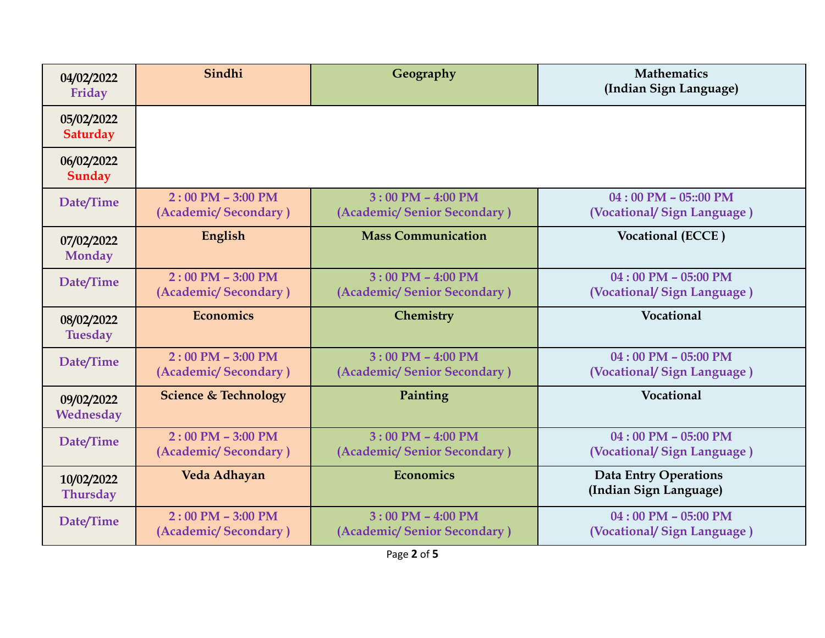| 04/02/2022<br>Friday          | Sindhi                                        | Geography                                            | <b>Mathematics</b><br>(Indian Sign Language)           |
|-------------------------------|-----------------------------------------------|------------------------------------------------------|--------------------------------------------------------|
| 05/02/2022<br>Saturday        |                                               |                                                      |                                                        |
| 06/02/2022<br>Sunday          |                                               |                                                      |                                                        |
| Date/Time                     | $2:00$ PM $- 3:00$ PM<br>(Academic/Secondary) | $3:00$ PM $-$ 4:00 PM<br>(Academic/Senior Secondary) | $04:00$ PM $- 05::00$ PM<br>(Vocational/Sign Language) |
| 07/02/2022<br><b>Monday</b>   | English                                       | <b>Mass Communication</b>                            | Vocational (ECCE)                                      |
| Date/Time                     | $2:00$ PM - 3:00 PM<br>(Academic/Secondary)   | $3:00$ PM $-$ 4:00 PM<br>(Academic/Senior Secondary) | $04:00$ PM - 05:00 PM<br>(Vocational/Sign Language)    |
| 08/02/2022<br><b>Tuesday</b>  | <b>Economics</b>                              | Chemistry                                            | Vocational                                             |
| Date/Time                     | $2:00$ PM $- 3:00$ PM<br>(Academic/Secondary) | $3:00$ PM $-$ 4:00 PM<br>(Academic/Senior Secondary) | $04:00$ PM $- 05:00$ PM<br>(Vocational/ Sign Language) |
| 09/02/2022<br>Wednesday       | <b>Science &amp; Technology</b>               | Painting                                             | <b>Vocational</b>                                      |
| Date/Time                     | $2:00$ PM $-$ 3:00 PM<br>(Academic/Secondary) | $3:00$ PM $-$ 4:00 PM<br>(Academic/Senior Secondary) | $04:00$ PM $- 05:00$ PM<br>(Vocational/Sign Language)  |
| 10/02/2022<br><b>Thursday</b> | Veda Adhayan                                  | <b>Economics</b>                                     | <b>Data Entry Operations</b><br>(Indian Sign Language) |
| Date/Time                     | $2:00$ PM $- 3:00$ PM<br>(Academic/Secondary) | $3:00$ PM $-$ 4:00 PM<br>(Academic/Senior Secondary) | $04:00$ PM $- 05:00$ PM<br>(Vocational/Sign Language)  |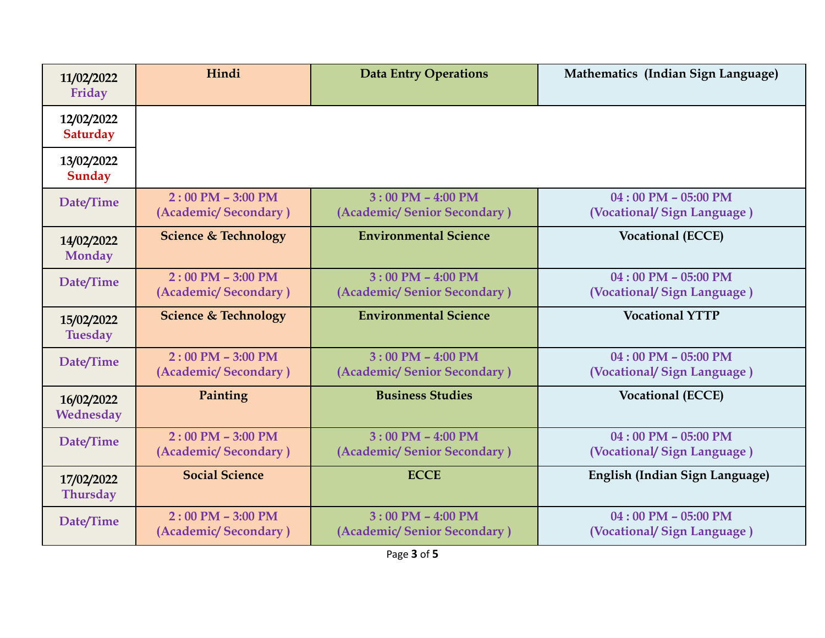| 11/02/2022<br>Friday          | Hindi                                         | <b>Data Entry Operations</b>                         | Mathematics (Indian Sign Language)                  |
|-------------------------------|-----------------------------------------------|------------------------------------------------------|-----------------------------------------------------|
| 12/02/2022<br>Saturday        |                                               |                                                      |                                                     |
| 13/02/2022<br>Sunday          |                                               |                                                      |                                                     |
| Date/Time                     | $2:00$ PM $-$ 3:00 PM<br>(Academic/Secondary) | $3:00$ PM $-$ 4:00 PM<br>(Academic/Senior Secondary) | $04:00$ PM - 05:00 PM<br>(Vocational/Sign Language) |
| 14/02/2022<br>Monday          | <b>Science &amp; Technology</b>               | <b>Environmental Science</b>                         | <b>Vocational (ECCE)</b>                            |
| Date/Time                     | $2:00$ PM $-$ 3:00 PM<br>(Academic/Secondary) | $3:00$ PM $-$ 4:00 PM<br>(Academic/Senior Secondary) | $04:00$ PM - 05:00 PM<br>(Vocational/Sign Language) |
| 15/02/2022<br><b>Tuesday</b>  | <b>Science &amp; Technology</b>               | <b>Environmental Science</b>                         | <b>Vocational YTTP</b>                              |
| Date/Time                     | $2:00$ PM $-$ 3:00 PM<br>(Academic/Secondary) | $3:00$ PM $-$ 4:00 PM<br>(Academic/Senior Secondary) | $04:00$ PM - 05:00 PM<br>(Vocational/Sign Language) |
| 16/02/2022<br>Wednesday       | Painting                                      | <b>Business Studies</b>                              | <b>Vocational (ECCE)</b>                            |
| Date/Time                     | $2:00$ PM $-$ 3:00 PM<br>(Academic/Secondary) | $3:00$ PM $-$ 4:00 PM<br>(Academic/Senior Secondary) | $04:00$ PM - 05:00 PM<br>(Vocational/Sign Language) |
| 17/02/2022<br><b>Thursday</b> | <b>Social Science</b>                         | <b>ECCE</b>                                          | English (Indian Sign Language)                      |
| Date/Time                     | $2:00$ PM $-$ 3:00 PM<br>(Academic/Secondary) | $3:00$ PM $-$ 4:00 PM<br>(Academic/Senior Secondary) | $04:00$ PM - 05:00 PM<br>(Vocational/Sign Language) |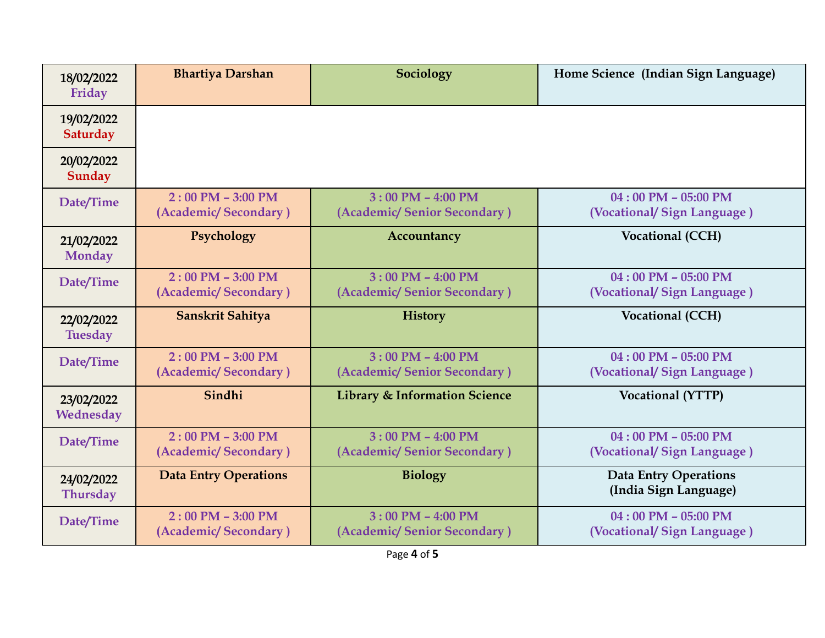| 18/02/2022<br>Friday          | <b>Bhartiya Darshan</b>                       | Sociology                                                          | Home Science (Indian Sign Language)                   |
|-------------------------------|-----------------------------------------------|--------------------------------------------------------------------|-------------------------------------------------------|
| 19/02/2022<br>Saturday        |                                               |                                                                    |                                                       |
| 20/02/2022<br>Sunday          |                                               |                                                                    |                                                       |
| Date/Time                     | $2:00$ PM $-$ 3:00 PM<br>(Academic/Secondary) | $3:00$ PM $-$ 4:00 PM<br>(Academic/Senior Secondary)               | $04:00$ PM - 05:00 PM<br>(Vocational/Sign Language)   |
| 21/02/2022<br><b>Monday</b>   | Psychology                                    | Accountancy                                                        | Vocational (CCH)                                      |
| Date/Time                     | $2:00$ PM - 3:00 PM<br>(Academic/Secondary)   | $3:00$ PM $-$ 4:00 PM<br>(Academic/Senior Secondary)               | $04:00$ PM - 05:00 PM<br>(Vocational/Sign Language)   |
| 22/02/2022<br><b>Tuesday</b>  | Sanskrit Sahitya                              | <b>History</b>                                                     | Vocational (CCH)                                      |
| Date/Time                     | $2:00$ PM - 3:00 PM<br>(Academic/Secondary)   | $3:00$ PM $-$ 4:00 PM<br>(Academic/Senior Secondary)               | $04:00$ PM - 05:00 PM<br>(Vocational/Sign Language)   |
| 23/02/2022<br>Wednesday       | Sindhi                                        | <b>Library &amp; Information Science</b>                           | <b>Vocational (YTTP)</b>                              |
| Date/Time                     | $2:00$ PM $-$ 3:00 PM<br>(Academic/Secondary) | $3:00$ PM $-$ 4:00 PM<br>(Academic/Senior Secondary)               | $04:00$ PM - 05:00 PM<br>(Vocational/Sign Language)   |
| 24/02/2022<br><b>Thursday</b> | <b>Data Entry Operations</b>                  | <b>Biology</b>                                                     | <b>Data Entry Operations</b><br>(India Sign Language) |
| Date/Time                     | $2:00$ PM $-$ 3:00 PM<br>(Academic/Secondary) | $3:00 \text{ PM} - 4:00 \text{ PM}$<br>(Academic/Senior Secondary) | $04:00$ PM - 05:00 PM<br>(Vocational/Sign Language)   |